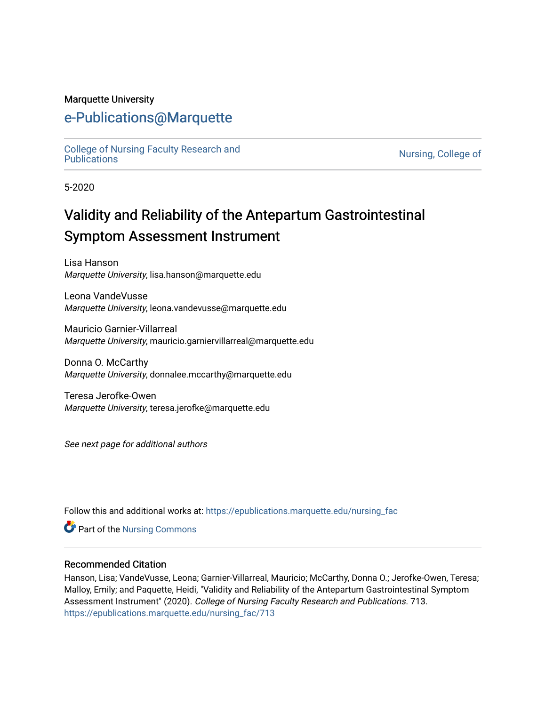#### Marquette University

# [e-Publications@Marquette](https://epublications.marquette.edu/)

[College of Nursing Faculty Research and](https://epublications.marquette.edu/nursing_fac)<br>Publications

Nursing, College of

5-2020

# Validity and Reliability of the Antepartum Gastrointestinal Symptom Assessment Instrument

Lisa Hanson Marquette University, lisa.hanson@marquette.edu

Leona VandeVusse Marquette University, leona.vandevusse@marquette.edu

Mauricio Garnier-Villarreal Marquette University, mauricio.garniervillarreal@marquette.edu

Donna O. McCarthy Marquette University, donnalee.mccarthy@marquette.edu

Teresa Jerofke-Owen Marquette University, teresa.jerofke@marquette.edu

See next page for additional authors

Follow this and additional works at: [https://epublications.marquette.edu/nursing\\_fac](https://epublications.marquette.edu/nursing_fac?utm_source=epublications.marquette.edu%2Fnursing_fac%2F713&utm_medium=PDF&utm_campaign=PDFCoverPages)

Part of the [Nursing Commons](http://network.bepress.com/hgg/discipline/718?utm_source=epublications.marquette.edu%2Fnursing_fac%2F713&utm_medium=PDF&utm_campaign=PDFCoverPages) 

#### Recommended Citation

Hanson, Lisa; VandeVusse, Leona; Garnier-Villarreal, Mauricio; McCarthy, Donna O.; Jerofke-Owen, Teresa; Malloy, Emily; and Paquette, Heidi, "Validity and Reliability of the Antepartum Gastrointestinal Symptom Assessment Instrument" (2020). College of Nursing Faculty Research and Publications. 713. [https://epublications.marquette.edu/nursing\\_fac/713](https://epublications.marquette.edu/nursing_fac/713?utm_source=epublications.marquette.edu%2Fnursing_fac%2F713&utm_medium=PDF&utm_campaign=PDFCoverPages)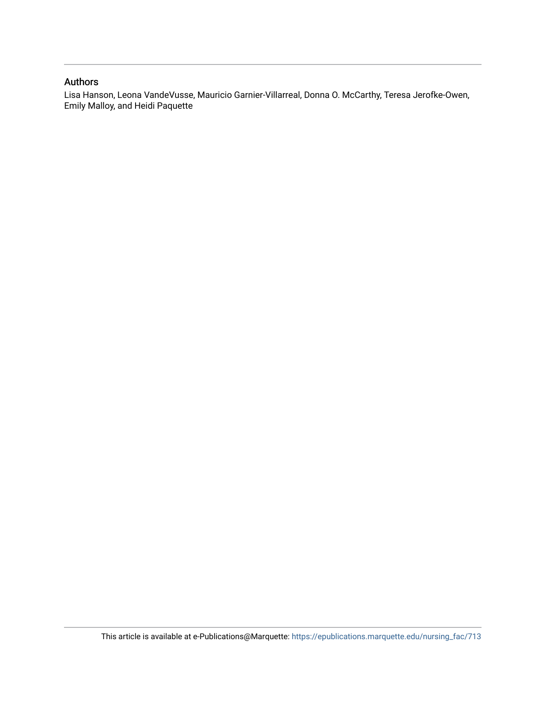#### Authors

Lisa Hanson, Leona VandeVusse, Mauricio Garnier-Villarreal, Donna O. McCarthy, Teresa Jerofke-Owen, Emily Malloy, and Heidi Paquette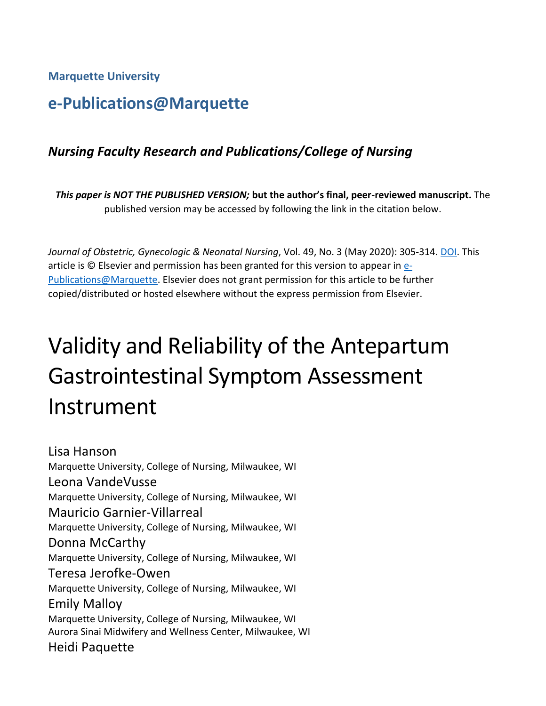**Marquette University**

# **e-Publications@Marquette**

# *Nursing Faculty Research and Publications/College of Nursing*

*This paper is NOT THE PUBLISHED VERSION;* **but the author's final, peer-reviewed manuscript.** The published version may be accessed by following the link in the citation below.

*Journal of Obstetric, Gynecologic & Neonatal Nursing*, Vol. 49, No. 3 (May 2020): 305-314. [DOI.](https://doi.org/10.1016/j.jogn.2020.02.006) This article is © Elsevier and permission has been granted for this version to appear in [e-](http://epublications.marquette.edu/)[Publications@Marquette.](http://epublications.marquette.edu/) Elsevier does not grant permission for this article to be further copied/distributed or hosted elsewhere without the express permission from Elsevier.

# Validity and Reliability of the Antepartum Gastrointestinal Symptom Assessment Instrument

Lisa Hanson Marquette University, College of Nursing, Milwaukee, WI Leona VandeVusse Marquette University, College of Nursing, Milwaukee, WI Mauricio Garnier-Villarreal Marquette University, College of Nursing, Milwaukee, WI Donna McCarthy Marquette University, College of Nursing, Milwaukee, WI Teresa Jerofke-Owen Marquette University, College of Nursing, Milwaukee, WI Emily Malloy Marquette University, College of Nursing, Milwaukee, WI Aurora Sinai Midwifery and Wellness Center, Milwaukee, WI Heidi Paquette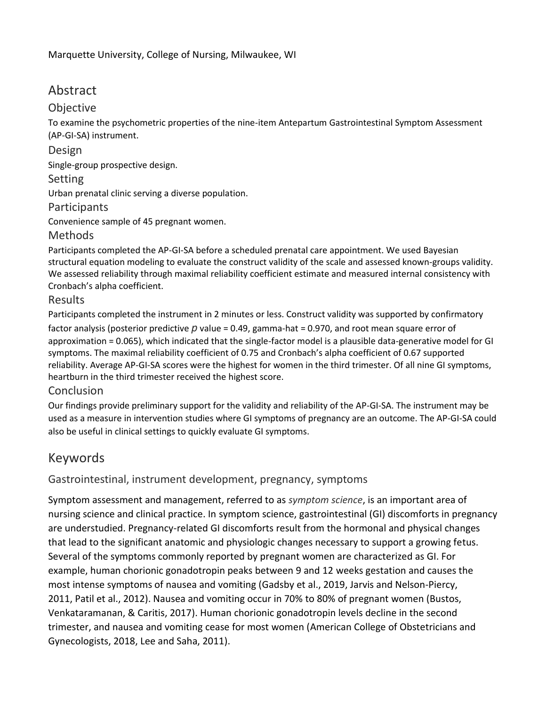# Abstract

#### **Objective**

To examine the psychometric properties of the nine-item Antepartum Gastrointestinal Symptom Assessment (AP-GI-SA) instrument.

Design

Single-group prospective design.

Setting

Urban prenatal clinic serving a diverse population.

#### Participants

Convenience sample of 45 pregnant women.

Methods

Participants completed the AP-GI-SA before a scheduled prenatal care appointment. We used Bayesian structural equation modeling to evaluate the construct validity of the scale and assessed known-groups validity. We assessed reliability through maximal reliability coefficient estimate and measured internal consistency with Cronbach's alpha coefficient.

#### Results

Participants completed the instrument in 2 minutes or less. Construct validity was supported by confirmatory factor analysis (posterior predictive *p* value = 0.49, gamma-hat = 0.970, and root mean square error of approximation = 0.065), which indicated that the single-factor model is a plausible data-generative model for GI symptoms. The maximal reliability coefficient of 0.75 and Cronbach's alpha coefficient of 0.67 supported reliability. Average AP-GI-SA scores were the highest for women in the third trimester. Of all nine GI symptoms, heartburn in the third trimester received the highest score.

#### Conclusion

Our findings provide preliminary support for the validity and reliability of the AP-GI-SA. The instrument may be used as a measure in intervention studies where GI symptoms of pregnancy are an outcome. The AP-GI-SA could also be useful in clinical settings to quickly evaluate GI symptoms.

# Keywords

#### Gastrointestinal, instrument development, pregnancy, symptoms

Symptom assessment and management, referred to as *symptom science*, is an important area of nursing science and clinical practice. In symptom science, gastrointestinal (GI) discomforts in pregnancy are understudied. Pregnancy-related GI discomforts result from the hormonal and physical changes that lead to the significant anatomic and physiologic changes necessary to support a growing fetus. Several of the symptoms commonly reported by pregnant women are characterized as GI. For example, human chorionic gonadotropin peaks between 9 and 12 weeks gestation and causes the most intense symptoms of nausea and vomiting (Gadsby et al., 2019, Jarvis and Nelson-Piercy, 2011, Patil et al., 2012). Nausea and vomiting occur in 70% to 80% of pregnant women (Bustos, Venkataramanan, & Caritis, 2017). Human chorionic gonadotropin levels decline in the second trimester, and nausea and vomiting cease for most women (American College of Obstetricians and Gynecologists, 2018, Lee and Saha, 2011).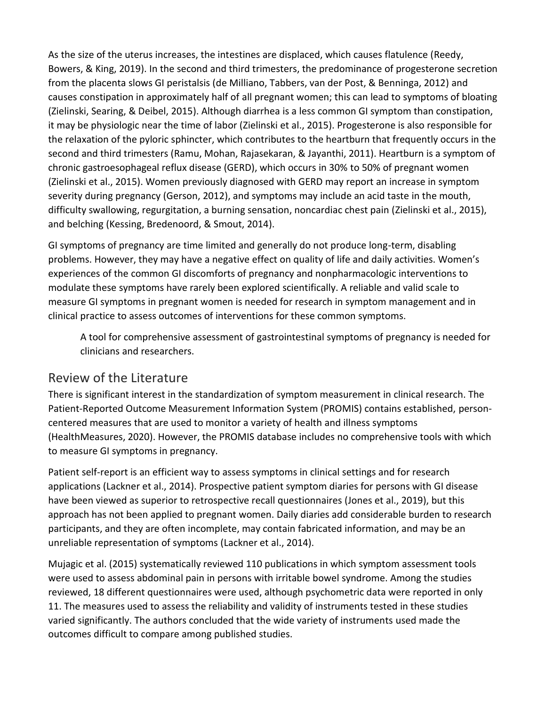As the size of the uterus increases, the intestines are displaced, which causes flatulence (Reedy, Bowers, & King, 2019). In the second and third trimesters, the predominance of progesterone secretion from the placenta slows GI peristalsis (de Milliano, Tabbers, van der Post, & Benninga, 2012) and causes constipation in approximately half of all pregnant women; this can lead to symptoms of bloating (Zielinski, Searing, & Deibel, 2015). Although diarrhea is a less common GI symptom than constipation, it may be physiologic near the time of labor (Zielinski et al., 2015). Progesterone is also responsible for the relaxation of the pyloric sphincter, which contributes to the heartburn that frequently occurs in the second and third trimesters (Ramu, Mohan, Rajasekaran, & Jayanthi, 2011). Heartburn is a symptom of chronic gastroesophageal reflux disease (GERD), which occurs in 30% to 50% of pregnant women (Zielinski et al., 2015). Women previously diagnosed with GERD may report an increase in symptom severity during pregnancy (Gerson, 2012), and symptoms may include an acid taste in the mouth, difficulty swallowing, regurgitation, a burning sensation, noncardiac chest pain (Zielinski et al., 2015), and belching (Kessing, Bredenoord, & Smout, 2014).

GI symptoms of pregnancy are time limited and generally do not produce long-term, disabling problems. However, they may have a negative effect on quality of life and daily activities. Women's experiences of the common GI discomforts of pregnancy and nonpharmacologic interventions to modulate these symptoms have rarely been explored scientifically. A reliable and valid scale to measure GI symptoms in pregnant women is needed for research in symptom management and in clinical practice to assess outcomes of interventions for these common symptoms.

A tool for comprehensive assessment of gastrointestinal symptoms of pregnancy is needed for clinicians and researchers.

# Review of the Literature

There is significant interest in the standardization of symptom measurement in clinical research. The Patient-Reported Outcome Measurement Information System (PROMIS) contains established, personcentered measures that are used to monitor a variety of health and illness symptoms (HealthMeasures, 2020). However, the PROMIS database includes no comprehensive tools with which to measure GI symptoms in pregnancy.

Patient self-report is an efficient way to assess symptoms in clinical settings and for research applications (Lackner et al., 2014). Prospective patient symptom diaries for persons with GI disease have been viewed as superior to retrospective recall questionnaires (Jones et al., 2019), but this approach has not been applied to pregnant women. Daily diaries add considerable burden to research participants, and they are often incomplete, may contain fabricated information, and may be an unreliable representation of symptoms (Lackner et al., 2014).

Mujagic et al. (2015) systematically reviewed 110 publications in which symptom assessment tools were used to assess abdominal pain in persons with irritable bowel syndrome. Among the studies reviewed, 18 different questionnaires were used, although psychometric data were reported in only 11. The measures used to assess the reliability and validity of instruments tested in these studies varied significantly. The authors concluded that the wide variety of instruments used made the outcomes difficult to compare among published studies.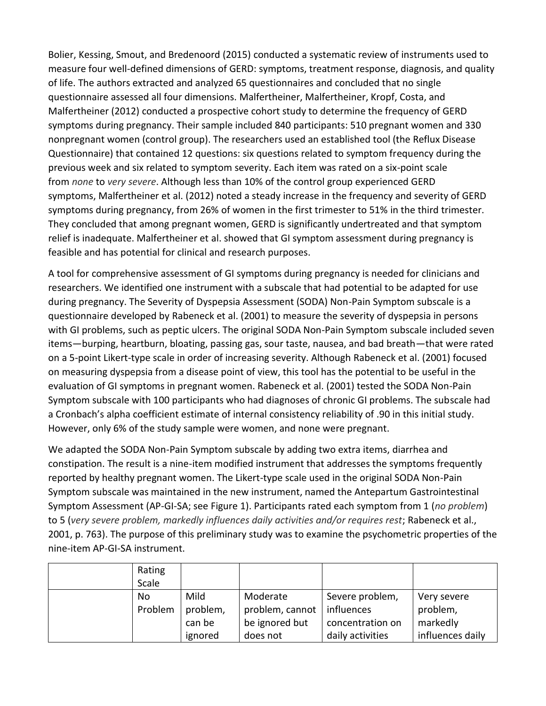Bolier, Kessing, Smout, and Bredenoord (2015) conducted a systematic review of instruments used to measure four well-defined dimensions of GERD: symptoms, treatment response, diagnosis, and quality of life. The authors extracted and analyzed 65 questionnaires and concluded that no single questionnaire assessed all four dimensions. Malfertheiner, Malfertheiner, Kropf, Costa, and Malfertheiner (2012) conducted a prospective cohort study to determine the frequency of GERD symptoms during pregnancy. Their sample included 840 participants: 510 pregnant women and 330 nonpregnant women (control group). The researchers used an established tool (the Reflux Disease Questionnaire) that contained 12 questions: six questions related to symptom frequency during the previous week and six related to symptom severity. Each item was rated on a six-point scale from *none* to *very severe*. Although less than 10% of the control group experienced GERD symptoms, Malfertheiner et al. (2012) noted a steady increase in the frequency and severity of GERD symptoms during pregnancy, from 26% of women in the first trimester to 51% in the third trimester. They concluded that among pregnant women, GERD is significantly undertreated and that symptom relief is inadequate. Malfertheiner et al. showed that GI symptom assessment during pregnancy is feasible and has potential for clinical and research purposes.

A tool for comprehensive assessment of GI symptoms during pregnancy is needed for clinicians and researchers. We identified one instrument with a subscale that had potential to be adapted for use during pregnancy. The Severity of Dyspepsia Assessment (SODA) Non-Pain Symptom subscale is a questionnaire developed by Rabeneck et al. (2001) to measure the severity of dyspepsia in persons with GI problems, such as peptic ulcers. The original SODA Non-Pain Symptom subscale included seven items—burping, heartburn, bloating, passing gas, sour taste, nausea, and bad breath—that were rated on a 5-point Likert-type scale in order of increasing severity. Although Rabeneck et al. (2001) focused on measuring dyspepsia from a disease point of view, this tool has the potential to be useful in the evaluation of GI symptoms in pregnant women. Rabeneck et al. (2001) tested the SODA Non-Pain Symptom subscale with 100 participants who had diagnoses of chronic GI problems. The subscale had a Cronbach's alpha coefficient estimate of internal consistency reliability of .90 in this initial study. However, only 6% of the study sample were women, and none were pregnant.

We adapted the SODA Non-Pain Symptom subscale by adding two extra items, diarrhea and constipation. The result is a nine-item modified instrument that addresses the symptoms frequently reported by healthy pregnant women. The Likert-type scale used in the original SODA Non-Pain Symptom subscale was maintained in the new instrument, named the Antepartum Gastrointestinal Symptom Assessment (AP-GI-SA; see Figure 1). Participants rated each symptom from 1 (*no problem*) to 5 (*very severe problem, markedly influences daily activities and/or requires rest*; Rabeneck et al., 2001, p. 763). The purpose of this preliminary study was to examine the psychometric properties of the nine-item AP-GI-SA instrument.

| Rating  |          |                 |                  |                  |
|---------|----------|-----------------|------------------|------------------|
| Scale   |          |                 |                  |                  |
| No.     | Mild     | Moderate        | Severe problem,  | Very severe      |
| Problem | problem, | problem, cannot | influences       | problem,         |
|         | can be   | be ignored but  | concentration on | markedly         |
|         | ignored  | does not        | daily activities | influences daily |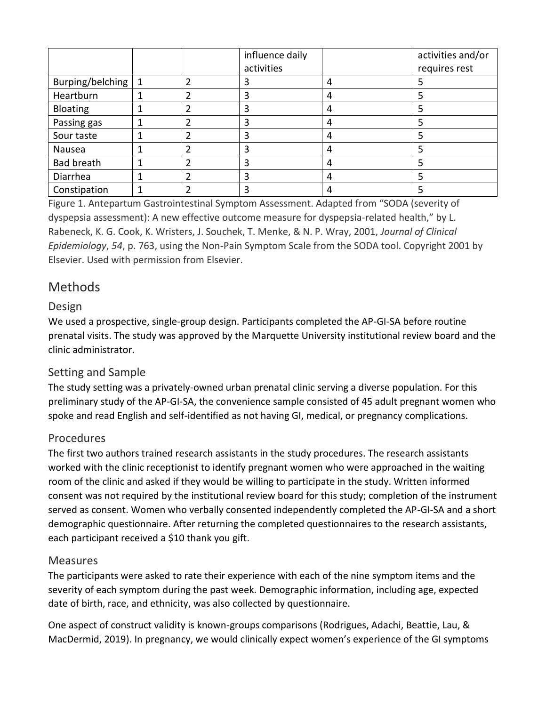|                  |              | influence daily |   | activities and/or |
|------------------|--------------|-----------------|---|-------------------|
|                  |              | activities      |   | requires rest     |
| Burping/belching | $\mathbf{1}$ | э               | 4 |                   |
| Heartburn        |              |                 | 4 |                   |
| <b>Bloating</b>  |              | 3               | 4 |                   |
| Passing gas      |              | 3               | 4 |                   |
| Sour taste       |              | 3               | 4 |                   |
| Nausea           |              | 3               | 4 |                   |
| Bad breath       |              |                 | 4 |                   |
| Diarrhea         |              | 3               | 4 |                   |
| Constipation     |              |                 | 4 |                   |

Figure 1. Antepartum Gastrointestinal Symptom Assessment. Adapted from "SODA (severity of dyspepsia assessment): A new effective outcome measure for dyspepsia-related health," by L. Rabeneck, K. G. Cook, K. Wristers, J. Souchek, T. Menke, & N. P. Wray, 2001, *Journal of Clinical Epidemiology*, *54*, p. 763, using the Non-Pain Symptom Scale from the SODA tool. Copyright 2001 by Elsevier. Used with permission from Elsevier.

# Methods

#### Design

We used a prospective, single-group design. Participants completed the AP-GI-SA before routine prenatal visits. The study was approved by the Marquette University institutional review board and the clinic administrator.

#### Setting and Sample

The study setting was a privately-owned urban prenatal clinic serving a diverse population. For this preliminary study of the AP-GI-SA, the convenience sample consisted of 45 adult pregnant women who spoke and read English and self-identified as not having GI, medical, or pregnancy complications.

#### Procedures

The first two authors trained research assistants in the study procedures. The research assistants worked with the clinic receptionist to identify pregnant women who were approached in the waiting room of the clinic and asked if they would be willing to participate in the study. Written informed consent was not required by the institutional review board for this study; completion of the instrument served as consent. Women who verbally consented independently completed the AP-GI-SA and a short demographic questionnaire. After returning the completed questionnaires to the research assistants, each participant received a \$10 thank you gift.

#### Measures

The participants were asked to rate their experience with each of the nine symptom items and the severity of each symptom during the past week. Demographic information, including age, expected date of birth, race, and ethnicity, was also collected by questionnaire.

One aspect of construct validity is known-groups comparisons (Rodrigues, Adachi, Beattie, Lau, & MacDermid, 2019). In pregnancy, we would clinically expect women's experience of the GI symptoms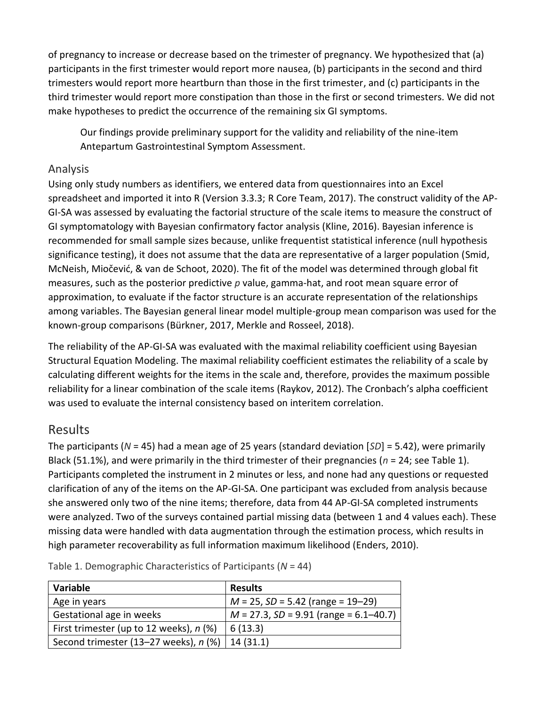of pregnancy to increase or decrease based on the trimester of pregnancy. We hypothesized that (a) participants in the first trimester would report more nausea, (b) participants in the second and third trimesters would report more heartburn than those in the first trimester, and (c) participants in the third trimester would report more constipation than those in the first or second trimesters. We did not make hypotheses to predict the occurrence of the remaining six GI symptoms.

Our findings provide preliminary support for the validity and reliability of the nine-item Antepartum Gastrointestinal Symptom Assessment.

#### Analysis

Using only study numbers as identifiers, we entered data from questionnaires into an Excel spreadsheet and imported it into R (Version 3.3.3; R Core Team, 2017). The construct validity of the AP-GI-SA was assessed by evaluating the factorial structure of the scale items to measure the construct of GI symptomatology with Bayesian confirmatory factor analysis (Kline, 2016). Bayesian inference is recommended for small sample sizes because, unlike frequentist statistical inference (null hypothesis significance testing), it does not assume that the data are representative of a larger population (Smid, McNeish, Miočević, & van de Schoot, 2020). The fit of the model was determined through global fit measures, such as the posterior predictive *p* value, gamma-hat, and root mean square error of approximation, to evaluate if the factor structure is an accurate representation of the relationships among variables. The Bayesian general linear model multiple-group mean comparison was used for the known-group comparisons (Bürkner, 2017, Merkle and Rosseel, 2018).

The reliability of the AP-GI-SA was evaluated with the maximal reliability coefficient using Bayesian Structural Equation Modeling. The maximal reliability coefficient estimates the reliability of a scale by calculating different weights for the items in the scale and, therefore, provides the maximum possible reliability for a linear combination of the scale items (Raykov, 2012). The Cronbach's alpha coefficient was used to evaluate the internal consistency based on interitem correlation.

# Results

The participants (*N* = 45) had a mean age of 25 years (standard deviation [*SD*] = 5.42), were primarily Black (51.1%), and were primarily in the third trimester of their pregnancies (*n* = 24; see Table 1). Participants completed the instrument in 2 minutes or less, and none had any questions or requested clarification of any of the items on the AP-GI-SA. One participant was excluded from analysis because she answered only two of the nine items; therefore, data from 44 AP-GI-SA completed instruments were analyzed. Two of the surveys contained partial missing data (between 1 and 4 values each). These missing data were handled with data augmentation through the estimation process, which results in high parameter recoverability as full information maximum likelihood (Enders, 2010).

| Variable                                  | <b>Results</b>                            |
|-------------------------------------------|-------------------------------------------|
| Age in years                              | $M = 25$ , SD = 5.42 (range = 19–29)      |
| Gestational age in weeks                  | $M = 27.3$ , SD = 9.91 (range = 6.1–40.7) |
| First trimester (up to 12 weeks), $n$ (%) | 6(13.3)                                   |
| Second trimester (13–27 weeks), $n$ (%)   | 14(31.1)                                  |

Table 1. Demographic Characteristics of Participants (*N* = 44)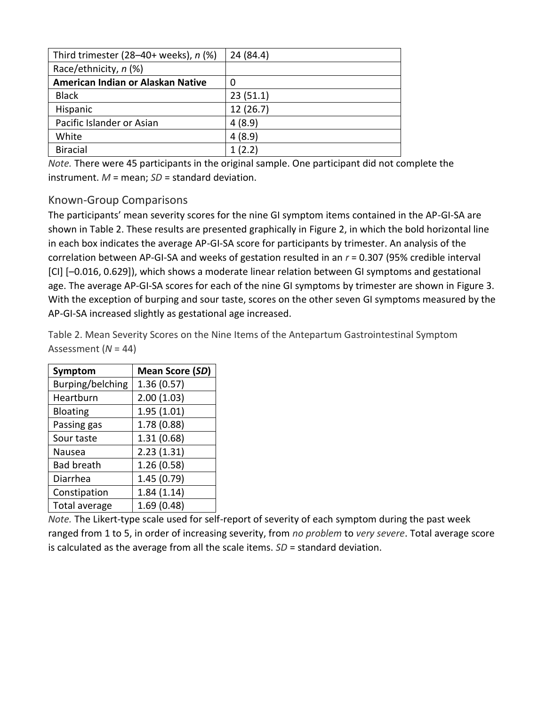| Third trimester $(28-40+)$ weeks), n $(%)$ | 24 (84.4) |
|--------------------------------------------|-----------|
| Race/ethnicity, n (%)                      |           |
| American Indian or Alaskan Native          | 0         |
| <b>Black</b>                               | 23(51.1)  |
| Hispanic                                   | 12 (26.7) |
| Pacific Islander or Asian                  | 4(8.9)    |
| White                                      | 4(8.9)    |
| <b>Biracial</b>                            | 1(2.2)    |

*Note.* There were 45 participants in the original sample. One participant did not complete the instrument.  $M$  = mean;  $SD$  = standard deviation.

#### Known-Group Comparisons

The participants' mean severity scores for the nine GI symptom items contained in the AP-GI-SA are shown in Table 2. These results are presented graphically in Figure 2, in which the bold horizontal line in each box indicates the average AP-GI-SA score for participants by trimester. An analysis of the correlation between AP-GI-SA and weeks of gestation resulted in an *r* = 0.307 (95% credible interval [CI] [–0.016, 0.629]), which shows a moderate linear relation between GI symptoms and gestational age. The average AP-GI-SA scores for each of the nine GI symptoms by trimester are shown in Figure 3. With the exception of burping and sour taste, scores on the other seven GI symptoms measured by the AP-GI-SA increased slightly as gestational age increased.

Table 2. Mean Severity Scores on the Nine Items of the Antepartum Gastrointestinal Symptom Assessment (*N* = 44)

| Symptom           | Mean Score (SD) |
|-------------------|-----------------|
| Burping/belching  | 1.36(0.57)      |
| Heartburn         | 2.00(1.03)      |
| Bloating          | 1.95(1.01)      |
| Passing gas       | 1.78 (0.88)     |
| Sour taste        | 1.31(0.68)      |
| Nausea            | 2.23(1.31)      |
| <b>Bad breath</b> | 1.26(0.58)      |
| Diarrhea          | 1.45(0.79)      |
| Constipation      | 1.84(1.14)      |
| Total average     | 1.69(0.48)      |

*Note.* The Likert-type scale used for self-report of severity of each symptom during the past week ranged from 1 to 5, in order of increasing severity, from *no problem* to *very severe*. Total average score is calculated as the average from all the scale items. *SD* = standard deviation.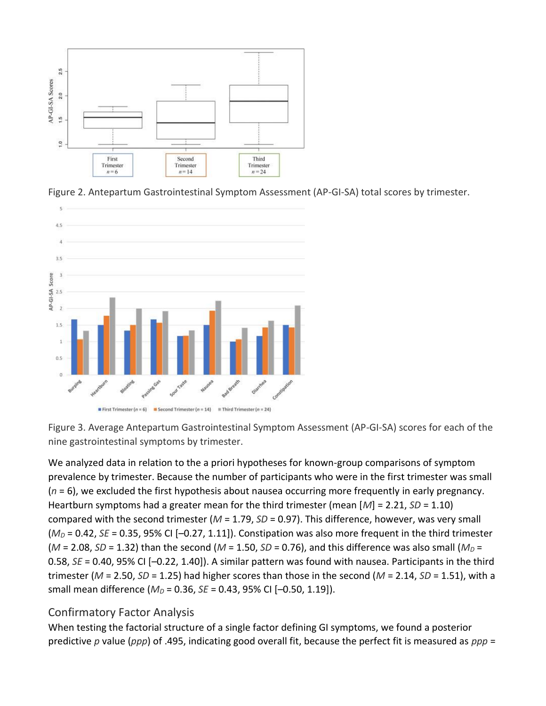

Figure 2. Antepartum Gastrointestinal Symptom Assessment (AP-GI-SA) total scores by trimester.



Figure 3. Average Antepartum Gastrointestinal Symptom Assessment (AP-GI-SA) scores for each of the nine gastrointestinal symptoms by trimester.

We analyzed data in relation to the a priori hypotheses for known-group comparisons of symptom prevalence by trimester. Because the number of participants who were in the first trimester was small (*n* = 6), we excluded the first hypothesis about nausea occurring more frequently in early pregnancy. Heartburn symptoms had a greater mean for the third trimester (mean [*M*] = 2.21, *SD* = 1.10) compared with the second trimester (*M* = 1.79, *SD* = 0.97). This difference, however, was very small  $(M_D = 0.42, SE = 0.35, 95\%$  CI  $[-0.27, 1.11]$ . Constipation was also more frequent in the third trimester ( $M = 2.08$ ,  $SD = 1.32$ ) than the second ( $M = 1.50$ ,  $SD = 0.76$ ), and this difference was also small ( $M_D =$ 0.58, *SE* = 0.40, 95% CI [–0.22, 1.40]). A similar pattern was found with nausea. Participants in the third trimester (*M* = 2.50, *SD* = 1.25) had higher scores than those in the second (*M* = 2.14, *SD* = 1.51), with a small mean difference (*M<sup>D</sup>* = 0.36, *SE* = 0.43, 95% CI [–0.50, 1.19]).

#### Confirmatory Factor Analysis

When testing the factorial structure of a single factor defining GI symptoms, we found a posterior predictive *p* value (*ppp*) of .495, indicating good overall fit, because the perfect fit is measured as *ppp* =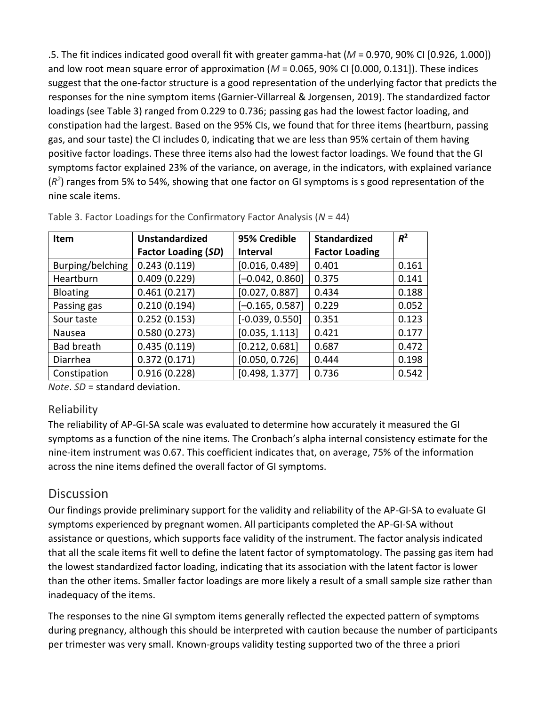.5. The fit indices indicated good overall fit with greater gamma-hat (*M* = 0.970, 90% CI [0.926, 1.000]) and low root mean square error of approximation (*M* = 0.065, 90% CI [0.000, 0.131]). These indices suggest that the one-factor structure is a good representation of the underlying factor that predicts the responses for the nine symptom items (Garnier-Villarreal & Jorgensen, 2019). The standardized factor loadings (see Table 3) ranged from 0.229 to 0.736; passing gas had the lowest factor loading, and constipation had the largest. Based on the 95% CIs, we found that for three items (heartburn, passing gas, and sour taste) the CI includes 0, indicating that we are less than 95% certain of them having positive factor loadings. These three items also had the lowest factor loadings. We found that the GI symptoms factor explained 23% of the variance, on average, in the indicators, with explained variance (*R 2* ) ranges from 5% to 54%, showing that one factor on GI symptoms is s good representation of the nine scale items.

| <b>Item</b>      | <b>Unstandardized</b>      | 95% Credible      | <b>Standardized</b>   | $R^2$ |
|------------------|----------------------------|-------------------|-----------------------|-------|
|                  | <b>Factor Loading (SD)</b> | <b>Interval</b>   | <b>Factor Loading</b> |       |
| Burping/belching | 0.243(0.119)               | [0.016, 0.489]    | 0.401                 | 0.161 |
| Heartburn        | 0.409(0.229)               | $[-0.042, 0.860]$ | 0.375                 | 0.141 |
| <b>Bloating</b>  | 0.461(0.217)               | [0.027, 0.887]    | 0.434                 | 0.188 |
| Passing gas      | 0.210(0.194)               | $[-0.165, 0.587]$ | 0.229                 | 0.052 |
| Sour taste       | 0.252(0.153)               | $[-0.039, 0.550]$ | 0.351                 | 0.123 |
| Nausea           | 0.580(0.273)               | [0.035, 1.113]    | 0.421                 | 0.177 |
| Bad breath       | 0.435(0.119)               | [0.212, 0.681]    | 0.687                 | 0.472 |
| Diarrhea         | 0.372(0.171)               | [0.050, 0.726]    | 0.444                 | 0.198 |
| Constipation     | 0.916(0.228)               | [0.498, 1.377]    | 0.736                 | 0.542 |

| Table 3. Factor Loadings for the Confirmatory Factor Analysis ( $N = 44$ ) |  |  |  |
|----------------------------------------------------------------------------|--|--|--|
|----------------------------------------------------------------------------|--|--|--|

*Note*. *SD* = standard deviation.

#### Reliability

The reliability of AP-GI-SA scale was evaluated to determine how accurately it measured the GI symptoms as a function of the nine items. The Cronbach's alpha internal consistency estimate for the nine-item instrument was 0.67. This coefficient indicates that, on average, 75% of the information across the nine items defined the overall factor of GI symptoms.

# **Discussion**

Our findings provide preliminary support for the validity and reliability of the AP-GI-SA to evaluate GI symptoms experienced by pregnant women. All participants completed the AP-GI-SA without assistance or questions, which supports face validity of the instrument. The factor analysis indicated that all the scale items fit well to define the latent factor of symptomatology. The passing gas item had the lowest standardized factor loading, indicating that its association with the latent factor is lower than the other items. Smaller factor loadings are more likely a result of a small sample size rather than inadequacy of the items.

The responses to the nine GI symptom items generally reflected the expected pattern of symptoms during pregnancy, although this should be interpreted with caution because the number of participants per trimester was very small. Known-groups validity testing supported two of the three a priori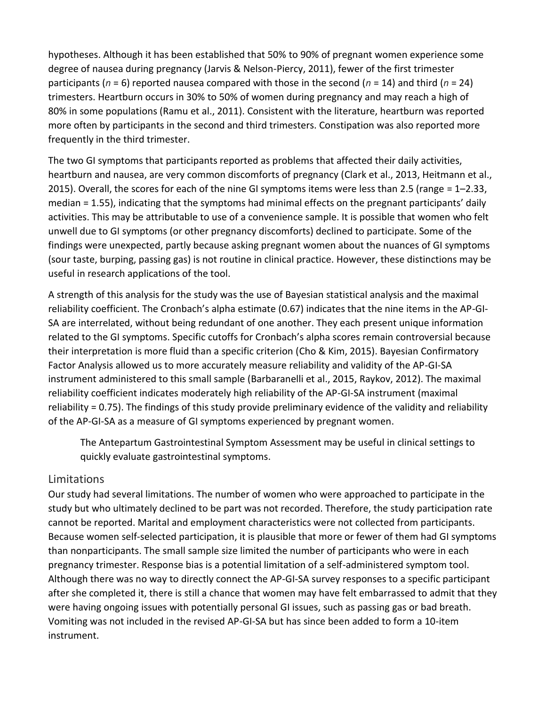hypotheses. Although it has been established that 50% to 90% of pregnant women experience some degree of nausea during pregnancy (Jarvis & Nelson-Piercy, 2011), fewer of the first trimester participants (*n* = 6) reported nausea compared with those in the second (*n* = 14) and third (*n* = 24) trimesters. Heartburn occurs in 30% to 50% of women during pregnancy and may reach a high of 80% in some populations (Ramu et al., 2011). Consistent with the literature, heartburn was reported more often by participants in the second and third trimesters. Constipation was also reported more frequently in the third trimester.

The two GI symptoms that participants reported as problems that affected their daily activities, heartburn and nausea, are very common discomforts of pregnancy (Clark et al., 2013, Heitmann et al., 2015). Overall, the scores for each of the nine GI symptoms items were less than 2.5 (range = 1–2.33, median = 1.55), indicating that the symptoms had minimal effects on the pregnant participants' daily activities. This may be attributable to use of a convenience sample. It is possible that women who felt unwell due to GI symptoms (or other pregnancy discomforts) declined to participate. Some of the findings were unexpected, partly because asking pregnant women about the nuances of GI symptoms (sour taste, burping, passing gas) is not routine in clinical practice. However, these distinctions may be useful in research applications of the tool.

A strength of this analysis for the study was the use of Bayesian statistical analysis and the maximal reliability coefficient. The Cronbach's alpha estimate (0.67) indicates that the nine items in the AP-GI-SA are interrelated, without being redundant of one another. They each present unique information related to the GI symptoms. Specific cutoffs for Cronbach's alpha scores remain controversial because their interpretation is more fluid than a specific criterion (Cho & Kim, 2015). Bayesian Confirmatory Factor Analysis allowed us to more accurately measure reliability and validity of the AP-GI-SA instrument administered to this small sample (Barbaranelli et al., 2015, Raykov, 2012). The maximal reliability coefficient indicates moderately high reliability of the AP-GI-SA instrument (maximal reliability = 0.75). The findings of this study provide preliminary evidence of the validity and reliability of the AP-GI-SA as a measure of GI symptoms experienced by pregnant women.

The Antepartum Gastrointestinal Symptom Assessment may be useful in clinical settings to quickly evaluate gastrointestinal symptoms.

#### Limitations

Our study had several limitations. The number of women who were approached to participate in the study but who ultimately declined to be part was not recorded. Therefore, the study participation rate cannot be reported. Marital and employment characteristics were not collected from participants. Because women self-selected participation, it is plausible that more or fewer of them had GI symptoms than nonparticipants. The small sample size limited the number of participants who were in each pregnancy trimester. Response bias is a potential limitation of a self-administered symptom tool. Although there was no way to directly connect the AP-GI-SA survey responses to a specific participant after she completed it, there is still a chance that women may have felt embarrassed to admit that they were having ongoing issues with potentially personal GI issues, such as passing gas or bad breath. Vomiting was not included in the revised AP-GI-SA but has since been added to form a 10-item instrument.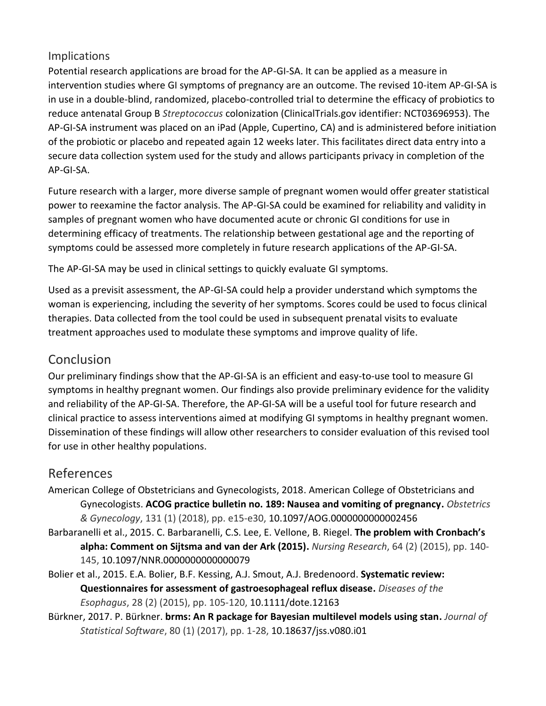#### Implications

Potential research applications are broad for the AP-GI-SA. It can be applied as a measure in intervention studies where GI symptoms of pregnancy are an outcome. The revised 10-item AP-GI-SA is in use in a double-blind, randomized, placebo-controlled trial to determine the efficacy of probiotics to reduce antenatal Group B *Streptococcus* colonization (ClinicalTrials.gov identifier: NCT03696953). The AP-GI-SA instrument was placed on an iPad (Apple, Cupertino, CA) and is administered before initiation of the probiotic or placebo and repeated again 12 weeks later. This facilitates direct data entry into a secure data collection system used for the study and allows participants privacy in completion of the AP-GI-SA.

Future research with a larger, more diverse sample of pregnant women would offer greater statistical power to reexamine the factor analysis. The AP-GI-SA could be examined for reliability and validity in samples of pregnant women who have documented acute or chronic GI conditions for use in determining efficacy of treatments. The relationship between gestational age and the reporting of symptoms could be assessed more completely in future research applications of the AP-GI-SA.

The AP-GI-SA may be used in clinical settings to quickly evaluate GI symptoms.

Used as a previsit assessment, the AP-GI-SA could help a provider understand which symptoms the woman is experiencing, including the severity of her symptoms. Scores could be used to focus clinical therapies. Data collected from the tool could be used in subsequent prenatal visits to evaluate treatment approaches used to modulate these symptoms and improve quality of life.

# Conclusion

Our preliminary findings show that the AP-GI-SA is an efficient and easy-to-use tool to measure GI symptoms in healthy pregnant women. Our findings also provide preliminary evidence for the validity and reliability of the AP-GI-SA. Therefore, the AP-GI-SA will be a useful tool for future research and clinical practice to assess interventions aimed at modifying GI symptoms in healthy pregnant women. Dissemination of these findings will allow other researchers to consider evaluation of this revised tool for use in other healthy populations.

# References

- American College of Obstetricians and Gynecologists, 2018. American College of Obstetricians and Gynecologists. **ACOG practice bulletin no. 189: Nausea and vomiting of pregnancy.** *Obstetrics & Gynecology*, 131 (1) (2018), pp. e15-e30, 10.1097/AOG.0000000000002456
- Barbaranelli et al., 2015. C. Barbaranelli, C.S. Lee, E. Vellone, B. Riegel. **The problem with Cronbach's alpha: Comment on Sijtsma and van der Ark (2015).** *Nursing Research*, 64 (2) (2015), pp. 140- 145, 10.1097/NNR.0000000000000079
- Bolier et al., 2015. E.A. Bolier, B.F. Kessing, A.J. Smout, A.J. Bredenoord. **Systematic review: Questionnaires for assessment of gastroesophageal reflux disease.** *Diseases of the Esophagus*, 28 (2) (2015), pp. 105-120, 10.1111/dote.12163
- Bürkner, 2017. P. Bürkner. **brms: An R package for Bayesian multilevel models using stan.** *Journal of Statistical Software*, 80 (1) (2017), pp. 1-28, 10.18637/jss.v080.i01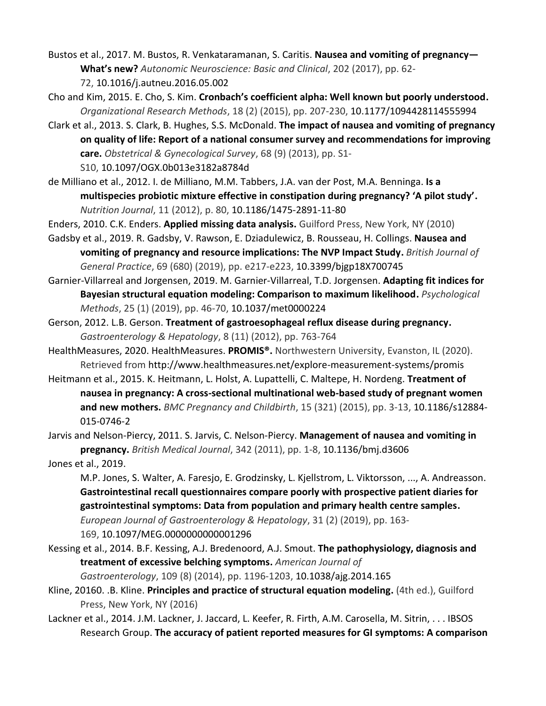- Bustos et al., 2017. M. Bustos, R. Venkataramanan, S. Caritis. **Nausea and vomiting of pregnancy— What's new?** *Autonomic Neuroscience: Basic and Clinical*, 202 (2017), pp. 62- 72, 10.1016/j.autneu.2016.05.002
- Cho and Kim, 2015. E. Cho, S. Kim. **Cronbach's coefficient alpha: Well known but poorly understood.**  *Organizational Research Methods*, 18 (2) (2015), pp. 207-230, 10.1177/1094428114555994
- Clark et al., 2013. S. Clark, B. Hughes, S.S. McDonald. **The impact of nausea and vomiting of pregnancy on quality of life: Report of a national consumer survey and recommendations for improving care.** *Obstetrical & Gynecological Survey*, 68 (9) (2013), pp. S1- S10, 10.1097/OGX.0b013e3182a8784d
- de Milliano et al., 2012. I. de Milliano, M.M. Tabbers, J.A. van der Post, M.A. Benninga. **Is a multispecies probiotic mixture effective in constipation during pregnancy? 'A pilot study'.**  *Nutrition Journal*, 11 (2012), p. 80, 10.1186/1475-2891-11-80
- Enders, 2010. C.K. Enders. **Applied missing data analysis.** Guilford Press, New York, NY (2010)
- Gadsby et al., 2019. R. Gadsby, V. Rawson, E. Dziadulewicz, B. Rousseau, H. Collings. **Nausea and vomiting of pregnancy and resource implications: The NVP Impact Study.** *British Journal of General Practice*, 69 (680) (2019), pp. e217-e223, 10.3399/bjgp18X700745
- Garnier-Villarreal and Jorgensen, 2019. M. Garnier-Villarreal, T.D. Jorgensen. **Adapting fit indices for Bayesian structural equation modeling: Comparison to maximum likelihood.** *Psychological Methods*, 25 (1) (2019), pp. 46-70, 10.1037/met0000224
- Gerson, 2012. L.B. Gerson. **Treatment of gastroesophageal reflux disease during pregnancy.**  *Gastroenterology & Hepatology*, 8 (11) (2012), pp. 763-764
- HealthMeasures, 2020. HealthMeasures. **PROMIS®.** Northwestern University, Evanston, IL (2020). Retrieved from http://www.healthmeasures.net/explore-measurement-systems/promis
- Heitmann et al., 2015. K. Heitmann, L. Holst, A. Lupattelli, C. Maltepe, H. Nordeng. **Treatment of nausea in pregnancy: A cross-sectional multinational web-based study of pregnant women and new mothers.** *BMC Pregnancy and Childbirth*, 15 (321) (2015), pp. 3-13, 10.1186/s12884- 015-0746-2
- Jarvis and Nelson-Piercy, 2011. S. Jarvis, C. Nelson-Piercy. **Management of nausea and vomiting in pregnancy.** *British Medical Journal*, 342 (2011), pp. 1-8, 10.1136/bmj.d3606 Jones et al., 2019.
	- M.P. Jones, S. Walter, A. Faresjo, E. Grodzinsky, L. Kjellstrom, L. Viktorsson, ..., A. Andreasson. **Gastrointestinal recall questionnaires compare poorly with prospective patient diaries for gastrointestinal symptoms: Data from population and primary health centre samples.**  *European Journal of Gastroenterology & Hepatology*, 31 (2) (2019), pp. 163- 169, 10.1097/MEG.0000000000001296
- Kessing et al., 2014. B.F. Kessing, A.J. Bredenoord, A.J. Smout. **The pathophysiology, diagnosis and treatment of excessive belching symptoms.** *American Journal of*

*Gastroenterology*, 109 (8) (2014), pp. 1196-1203, 10.1038/ajg.2014.165

- Kline, 20160. .B. Kline. **Principles and practice of structural equation modeling.** (4th ed.), Guilford Press, New York, NY (2016)
- Lackner et al., 2014. J.M. Lackner, J. Jaccard, L. Keefer, R. Firth, A.M. Carosella, M. Sitrin, . . . IBSOS Research Group. **The accuracy of patient reported measures for GI symptoms: A comparison**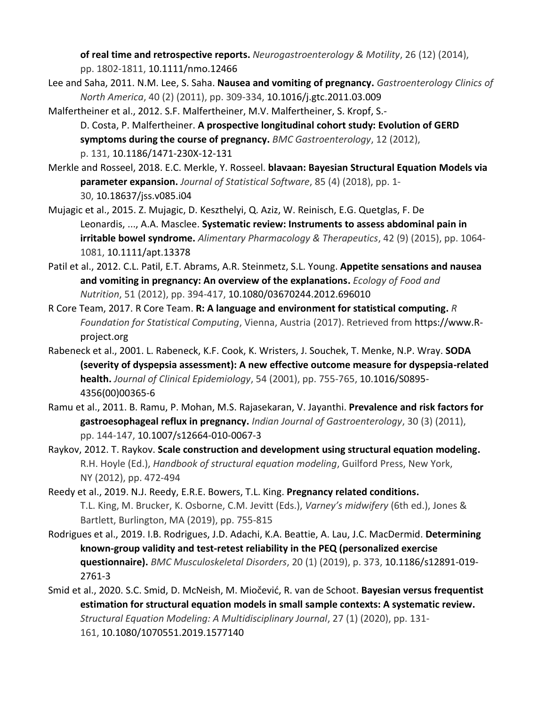**of real time and retrospective reports.** *Neurogastroenterology & Motility*, 26 (12) (2014), pp. 1802-1811, 10.1111/nmo.12466

- Lee and Saha, 2011. N.M. Lee, S. Saha. **Nausea and vomiting of pregnancy.** *Gastroenterology Clinics of North America*, 40 (2) (2011), pp. 309-334, 10.1016/j.gtc.2011.03.009
- Malfertheiner et al., 2012. S.F. Malfertheiner, M.V. Malfertheiner, S. Kropf, S.-
	- D. Costa, P. Malfertheiner. **A prospective longitudinal cohort study: Evolution of GERD symptoms during the course of pregnancy.** *BMC Gastroenterology*, 12 (2012), p. 131, 10.1186/1471-230X-12-131
- Merkle and Rosseel, 2018. E.C. Merkle, Y. Rosseel. **blavaan: Bayesian Structural Equation Models via parameter expansion.** *Journal of Statistical Software*, 85 (4) (2018), pp. 1- 30, 10.18637/jss.v085.i04
- Mujagic et al., 2015. Z. Mujagic, D. Keszthelyi, Q. Aziz, W. Reinisch, E.G. Quetglas, F. De Leonardis, ..., A.A. Masclee. **Systematic review: Instruments to assess abdominal pain in irritable bowel syndrome.** *Alimentary Pharmacology & Therapeutics*, 42 (9) (2015), pp. 1064- 1081, 10.1111/apt.13378
- Patil et al., 2012. C.L. Patil, E.T. Abrams, A.R. Steinmetz, S.L. Young. **Appetite sensations and nausea and vomiting in pregnancy: An overview of the explanations.** *Ecology of Food and Nutrition*, 51 (2012), pp. 394-417, 10.1080/03670244.2012.696010
- R Core Team, 2017. R Core Team. **R: A language and environment for statistical computing.** *R Foundation for Statistical Computing*, Vienna, Austria (2017). Retrieved from https://www.Rproject.org
- Rabeneck et al., 2001. L. Rabeneck, K.F. Cook, K. Wristers, J. Souchek, T. Menke, N.P. Wray. **SODA (severity of dyspepsia assessment): A new effective outcome measure for dyspepsia-related health.** *Journal of Clinical Epidemiology*, 54 (2001), pp. 755-765, 10.1016/S0895- 4356(00)00365-6
- Ramu et al., 2011. B. Ramu, P. Mohan, M.S. Rajasekaran, V. Jayanthi. **Prevalence and risk factors for gastroesophageal reflux in pregnancy.** *Indian Journal of Gastroenterology*, 30 (3) (2011), pp. 144-147, 10.1007/s12664-010-0067-3
- Raykov, 2012. T. Raykov. **Scale construction and development using structural equation modeling.**  R.H. Hoyle (Ed.), *Handbook of structural equation modeling*, Guilford Press, New York, NY (2012), pp. 472-494
- Reedy et al., 2019. N.J. Reedy, E.R.E. Bowers, T.L. King. **Pregnancy related conditions.**  T.L. King, M. Brucker, K. Osborne, C.M. Jevitt (Eds.), *Varney's midwifery* (6th ed.), Jones & Bartlett, Burlington, MA (2019), pp. 755-815
- Rodrigues et al., 2019. I.B. Rodrigues, J.D. Adachi, K.A. Beattie, A. Lau, J.C. MacDermid. **Determining known-group validity and test-retest reliability in the PEQ (personalized exercise questionnaire).** *BMC Musculoskeletal Disorders*, 20 (1) (2019), p. 373, 10.1186/s12891-019- 2761-3
- Smid et al., 2020. S.C. Smid, D. McNeish, M. Miočević, R. van de Schoot. **Bayesian versus frequentist estimation for structural equation models in small sample contexts: A systematic review.**  *Structural Equation Modeling: A Multidisciplinary Journal*, 27 (1) (2020), pp. 131- 161, 10.1080/1070551.2019.1577140